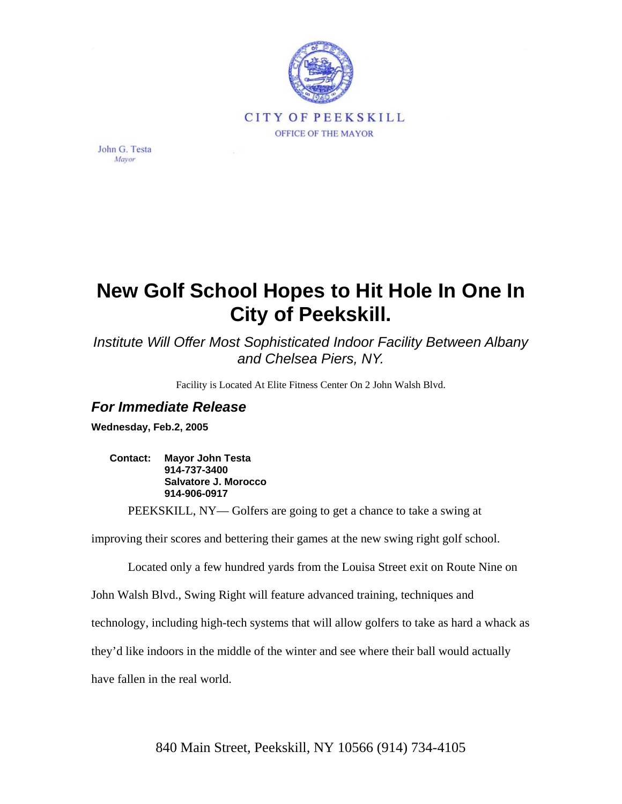

John G. Testa Mayor

## **New Golf School Hopes to Hit Hole In One In City of Peekskill.**

*Institute Will Offer Most Sophisticated Indoor Facility Between Albany and Chelsea Piers, NY.* 

Facility is Located At Elite Fitness Center On 2 John Walsh Blvd.

## *For Immediate Release*

**Wednesday, Feb.2, 2005** 

**Contact: Mayor John Testa 914-737-3400 Salvatore J. Morocco 914-906-0917** 

PEEKSKILL, NY— Golfers are going to get a chance to take a swing at

improving their scores and bettering their games at the new swing right golf school.

Located only a few hundred yards from the Louisa Street exit on Route Nine on

John Walsh Blvd., Swing Right will feature advanced training, techniques and

technology, including high-tech systems that will allow golfers to take as hard a whack as

they'd like indoors in the middle of the winter and see where their ball would actually

have fallen in the real world.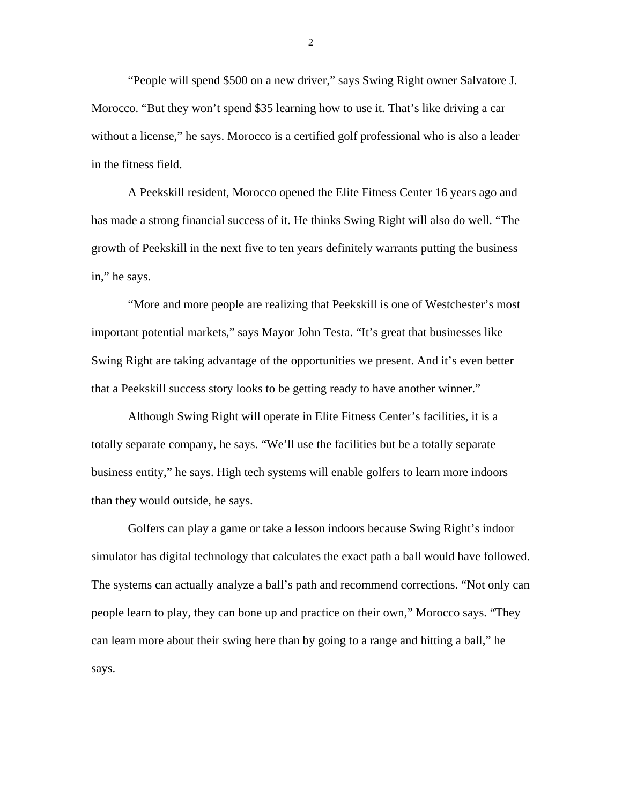"People will spend \$500 on a new driver," says Swing Right owner Salvatore J. Morocco. "But they won't spend \$35 learning how to use it. That's like driving a car without a license," he says. Morocco is a certified golf professional who is also a leader in the fitness field.

A Peekskill resident, Morocco opened the Elite Fitness Center 16 years ago and has made a strong financial success of it. He thinks Swing Right will also do well. "The growth of Peekskill in the next five to ten years definitely warrants putting the business in," he says.

"More and more people are realizing that Peekskill is one of Westchester's most important potential markets," says Mayor John Testa. "It's great that businesses like Swing Right are taking advantage of the opportunities we present. And it's even better that a Peekskill success story looks to be getting ready to have another winner."

Although Swing Right will operate in Elite Fitness Center's facilities, it is a totally separate company, he says. "We'll use the facilities but be a totally separate business entity," he says. High tech systems will enable golfers to learn more indoors than they would outside, he says.

Golfers can play a game or take a lesson indoors because Swing Right's indoor simulator has digital technology that calculates the exact path a ball would have followed. The systems can actually analyze a ball's path and recommend corrections. "Not only can people learn to play, they can bone up and practice on their own," Morocco says. "They can learn more about their swing here than by going to a range and hitting a ball," he says.